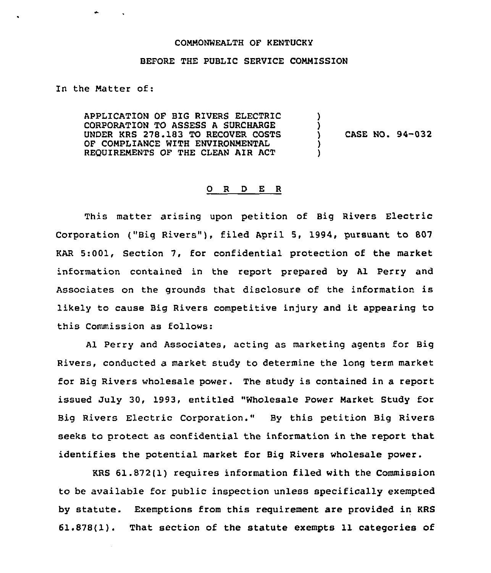## COMMONWEALTH OF KENTUCKY

## BEFORE THE PUBLIC SERVICE COMMISSION

In the Matter of:

APPLICATION OF BIG RIVERS ELECTRIC CORPORATION TO ASSESS A SURCHARGE UNDER KRS 278.183 TO RECOVER COSTS OF COMPLIANCE WITH ENVIRONMENTAL REQUIREMENTS OF THE CLEAN AIR ACT ) ) ) )

CASE NO. 94-032

## 0 R <sup>D</sup> E R

This matter arising upon petition of Big Rivers Electric Corporation ("Big Rivers"), filed April 5, 1994, pursuant to 807 KAR 5:001, Section 7, for confidential protection of the market information contained in the report prepared by Al Perry and Associates on the grounds that disclosure of the information is likely to cause Big Rivers competitive injury and it appearing to this Commission as follows:

Al Perry and Associates, acting as marketing agents for Big Rivers, conducted a market study to determine the long term market for Big Rivers wholesale power. The study is contained in a report issued July 30, 1993, entitled "Wholesale Power Market Study for Big Rivers Electric Corporation." By this petition Big Rivers seeks to protect as confidential the information in the report that identifies the potential market for Big Rivers wholesale power.

KRS 61.872(1) requires information filed with the Commission to be available for public inspection unless specifically exempted by statute. Exemptions from this requirement are provided in KRS 61.878(1). That section of the statute exempts 11 categories of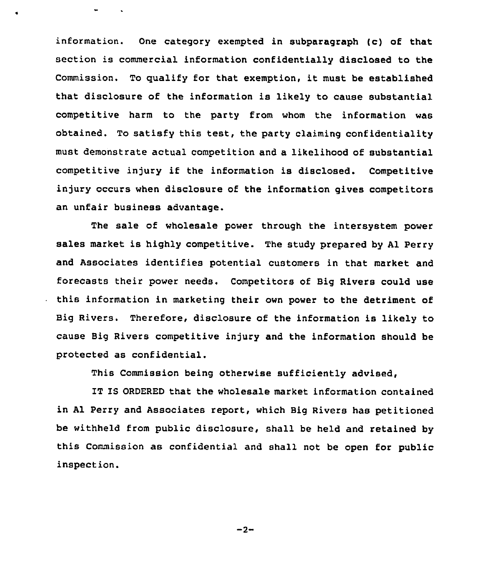information. One category exempted in subparagraph (c) of that section is commercial information confidentially disclosed to the Commission. To qualify for that exemption, it must be established that disclosure of the information is likely to cause substantial competitive harm to the party from whom the information was obtained. To satisfy this test, the party claiming confidentiality must demonstrate actual competition and a likelihood of substantial competitive injury if the information is disclosed. Competitive injury occurs when disclosure of the information gives competitors an unfair business advantage.

The sale of wholesale power through the intersystem power sales market is highly competitive. The study prepared by Al Perry and Associates identifies potential customers in that market and forecasts their power needs. Competitors of Big Rivers could use this information in marketing their own power to the detriment of Big Rivers. Therefore, disclosure of the information is likely to cause Big Rivers competitive injury and the information should be protected as confidential.

This Commission being otherwise sufficiently advised,

IT IS ORDERED that the wholesale market information contained in Al Perry and Associates report, which Big Rivers has petitioned be withheld from public disclosure, shall be held and retained by this Commission as confidential and shall not be open for public inspection.

 $-2-$